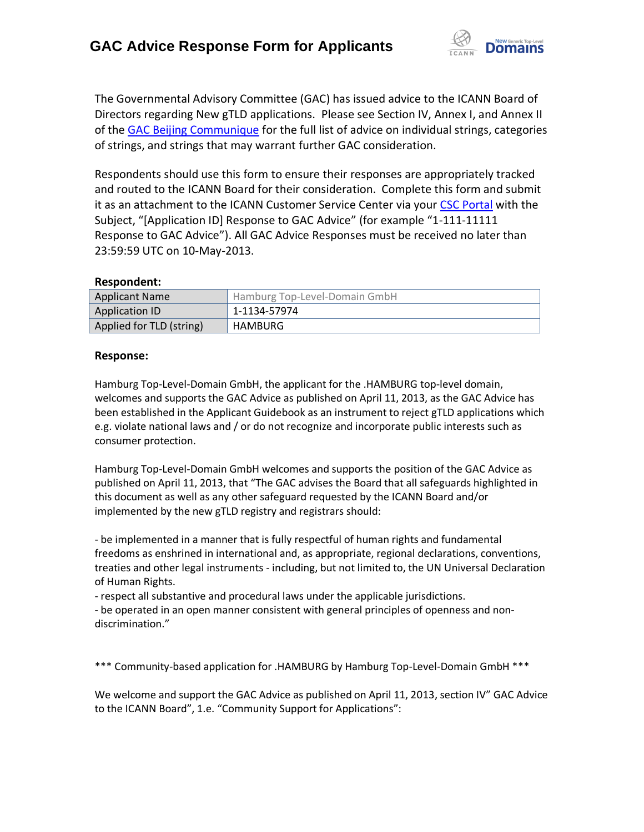

The Governmental Advisory Committee (GAC) has issued advice to the ICANN Board of Directors regarding New gTLD applications. Please see Section IV, Annex I, and Annex II of the [GAC Beijing Communique](http://www.icann.org/en/news/correspondence/gac-to-board-18apr13-en.pdf) for the full list of advice on individual strings, categories of strings, and strings that may warrant further GAC consideration.

Respondents should use this form to ensure their responses are appropriately tracked and routed to the ICANN Board for their consideration. Complete this form and submit it as an attachment to the ICANN Customer Service Center via your CSC [Portal](https://myicann.secure.force.com/) with the Subject, "[Application ID] Response to GAC Advice" (for example "1-111-11111 Response to GAC Advice"). All GAC Advice Responses must be received no later than 23:59:59 UTC on 10-May-2013.

### **Respondent:**

| <b>Applicant Name</b>    | Hamburg Top-Level-Domain GmbH |
|--------------------------|-------------------------------|
| Application ID           | 1-1134-57974                  |
| Applied for TLD (string) | HAMBURG                       |

### **Response:**

Hamburg Top-Level-Domain GmbH, the applicant for the .HAMBURG top-level domain, welcomes and supports the GAC Advice as published on April 11, 2013, as the GAC Advice has been established in the Applicant Guidebook as an instrument to reject gTLD applications which e.g. violate national laws and / or do not recognize and incorporate public interests such as consumer protection.

Hamburg Top-Level-Domain GmbH welcomes and supports the position of the GAC Advice as published on April 11, 2013, that "The GAC advises the Board that all safeguards highlighted in this document as well as any other safeguard requested by the ICANN Board and/or implemented by the new gTLD registry and registrars should:

- be implemented in a manner that is fully respectful of human rights and fundamental freedoms as enshrined in international and, as appropriate, regional declarations, conventions, treaties and other legal instruments - including, but not limited to, the UN Universal Declaration of Human Rights.

- respect all substantive and procedural laws under the applicable jurisdictions.

- be operated in an open manner consistent with general principles of openness and non‐ discrimination."

\*\*\* Community-based application for .HAMBURG by Hamburg Top-Level-Domain GmbH \*\*\*

We welcome and support the GAC Advice as published on April 11, 2013, section IV" GAC Advice to the ICANN Board", 1.e. "Community Support for Applications":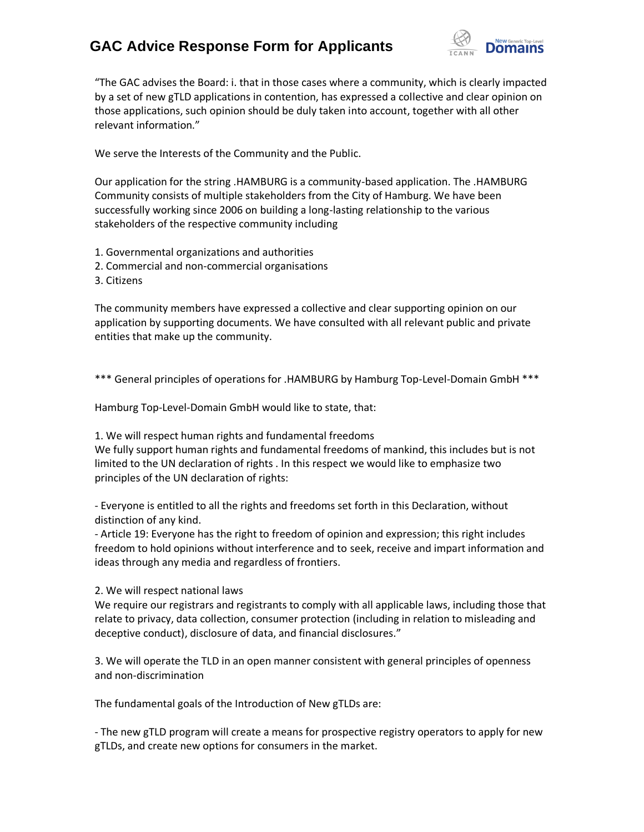# **GAC Advice Response Form for Applicants**



"The GAC advises the Board: i. that in those cases where a community, which is clearly impacted by a set of new gTLD applications in contention, has expressed a collective and clear opinion on those applications, such opinion should be duly taken into account, together with all other relevant information."

We serve the Interests of the Community and the Public.

Our application for the string .HAMBURG is a community-based application. The .HAMBURG Community consists of multiple stakeholders from the City of Hamburg. We have been successfully working since 2006 on building a long-lasting relationship to the various stakeholders of the respective community including

- 1. Governmental organizations and authorities
- 2. Commercial and non-commercial organisations
- 3. Citizens

The community members have expressed a collective and clear supporting opinion on our application by supporting documents. We have consulted with all relevant public and private entities that make up the community.

\*\*\* General principles of operations for .HAMBURG by Hamburg Top-Level-Domain GmbH \*\*\*

Hamburg Top-Level-Domain GmbH would like to state, that:

1. We will respect human rights and fundamental freedoms

We fully support human rights and fundamental freedoms of mankind, this includes but is not limited to the UN declaration of rights . In this respect we would like to emphasize two principles of the UN declaration of rights:

- Everyone is entitled to all the rights and freedoms set forth in this Declaration, without distinction of any kind.

- Article 19: Everyone has the right to freedom of opinion and expression; this right includes freedom to hold opinions without interference and to seek, receive and impart information and ideas through any media and regardless of frontiers.

2. We will respect national laws

We require our registrars and registrants to comply with all applicable laws, including those that relate to privacy, data collection, consumer protection (including in relation to misleading and deceptive conduct), disclosure of data, and financial disclosures."

3. We will operate the TLD in an open manner consistent with general principles of openness and non‐discrimination

The fundamental goals of the Introduction of New gTLDs are:

- The new gTLD program will create a means for prospective registry operators to apply for new gTLDs, and create new options for consumers in the market.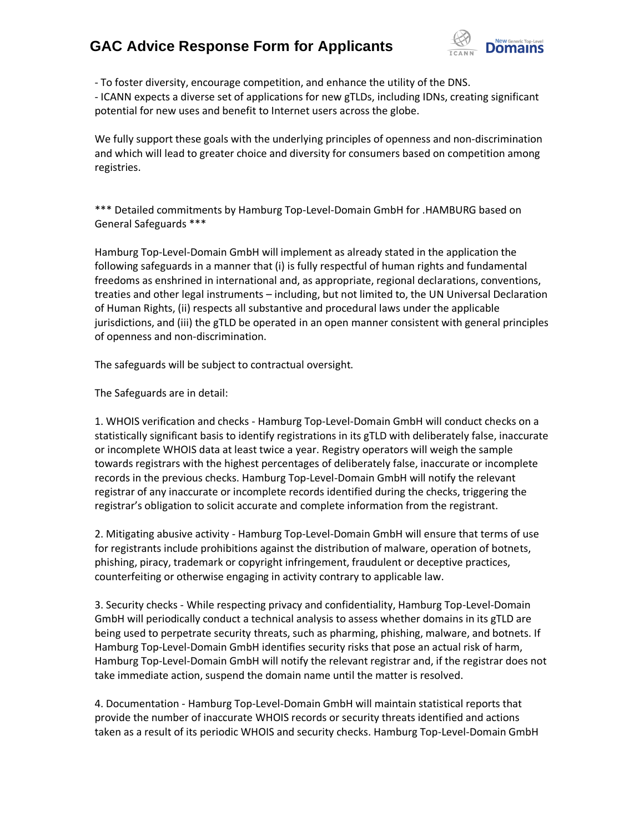### **GAC Advice Response Form for Applicants**



- To foster diversity, encourage competition, and enhance the utility of the DNS.

- ICANN expects a diverse set of applications for new gTLDs, including IDNs, creating significant potential for new uses and benefit to Internet users across the globe.

We fully support these goals with the underlying principles of openness and non-discrimination and which will lead to greater choice and diversity for consumers based on competition among registries.

\*\*\* Detailed commitments by Hamburg Top-Level-Domain GmbH for .HAMBURG based on General Safeguards \*\*\*

Hamburg Top-Level-Domain GmbH will implement as already stated in the application the following safeguards in a manner that (i) is fully respectful of human rights and fundamental freedoms as enshrined in international and, as appropriate, regional declarations, conventions, treaties and other legal instruments – including, but not limited to, the UN Universal Declaration of Human Rights, (ii) respects all substantive and procedural laws under the applicable jurisdictions, and (iii) the gTLD be operated in an open manner consistent with general principles of openness and non‐discrimination.

The safeguards will be subject to contractual oversight.

The Safeguards are in detail:

1. WHOIS verification and checks - Hamburg Top-Level-Domain GmbH will conduct checks on a statistically significant basis to identify registrations in its gTLD with deliberately false, inaccurate or incomplete WHOIS data at least twice a year. Registry operators will weigh the sample towards registrars with the highest percentages of deliberately false, inaccurate or incomplete records in the previous checks. Hamburg Top-Level-Domain GmbH will notify the relevant registrar of any inaccurate or incomplete records identified during the checks, triggering the registrar's obligation to solicit accurate and complete information from the registrant.

2. Mitigating abusive activity - Hamburg Top-Level-Domain GmbH will ensure that terms of use for registrants include prohibitions against the distribution of malware, operation of botnets, phishing, piracy, trademark or copyright infringement, fraudulent or deceptive practices, counterfeiting or otherwise engaging in activity contrary to applicable law.

3. Security checks - While respecting privacy and confidentiality, Hamburg Top-Level-Domain GmbH will periodically conduct a technical analysis to assess whether domains in its gTLD are being used to perpetrate security threats, such as pharming, phishing, malware, and botnets. If Hamburg Top-Level-Domain GmbH identifies security risks that pose an actual risk of harm, Hamburg Top-Level-Domain GmbH will notify the relevant registrar and, if the registrar does not take immediate action, suspend the domain name until the matter is resolved.

4. Documentation - Hamburg Top-Level-Domain GmbH will maintain statistical reports that provide the number of inaccurate WHOIS records or security threats identified and actions taken as a result of its periodic WHOIS and security checks. Hamburg Top-Level-Domain GmbH